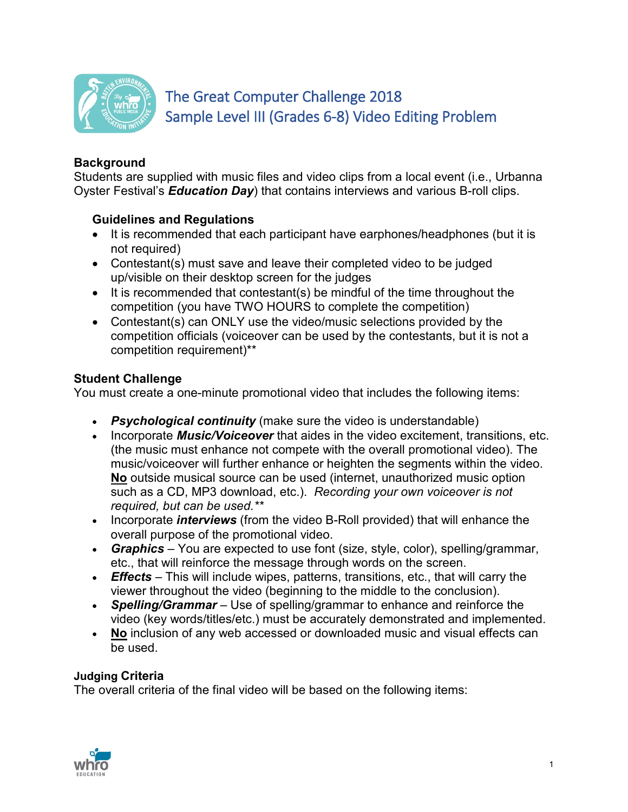

# The Great Computer Challenge 2018 Sample Level III (Grades 6-8) Video Editing Problem

## **Background**

Students are supplied with music files and video clips from a local event (i.e., Urbanna Oyster Festival's *Education Day*) that contains interviews and various B-roll clips.

### **Guidelines and Regulations**

- It is recommended that each participant have earphones/headphones (but it is not required)
- Contestant(s) must save and leave their completed video to be judged up/visible on their desktop screen for the judges
- It is recommended that contestant(s) be mindful of the time throughout the competition (you have TWO HOURS to complete the competition)
- Contestant(s) can ONLY use the video/music selections provided by the competition officials (voiceover can be used by the contestants, but it is not a competition requirement)\*\*

### **Student Challenge**

You must create a one-minute promotional video that includes the following items:

- *Psychological continuity* (make sure the video is understandable)
- Incorporate *Music/Voiceover* that aides in the video excitement, transitions, etc. (the music must enhance not compete with the overall promotional video). The music/voiceover will further enhance or heighten the segments within the video. **No** outside musical source can be used (internet, unauthorized music option such as a CD, MP3 download, etc.). *Recording your own voiceover is not required, but can be used.\*\**
- Incorporate *interviews* (from the video B-Roll provided) that will enhance the overall purpose of the promotional video.
- *Graphics*  You are expected to use font (size, style, color), spelling/grammar, etc., that will reinforce the message through words on the screen.
- *Effects* This will include wipes, patterns, transitions, etc., that will carry the viewer throughout the video (beginning to the middle to the conclusion).
- *Spelling/Grammar* Use of spelling/grammar to enhance and reinforce the video (key words/titles/etc.) must be accurately demonstrated and implemented.
- **No** inclusion of any web accessed or downloaded music and visual effects can be used.

#### **Judging Criteria**

The overall criteria of the final video will be based on the following items: